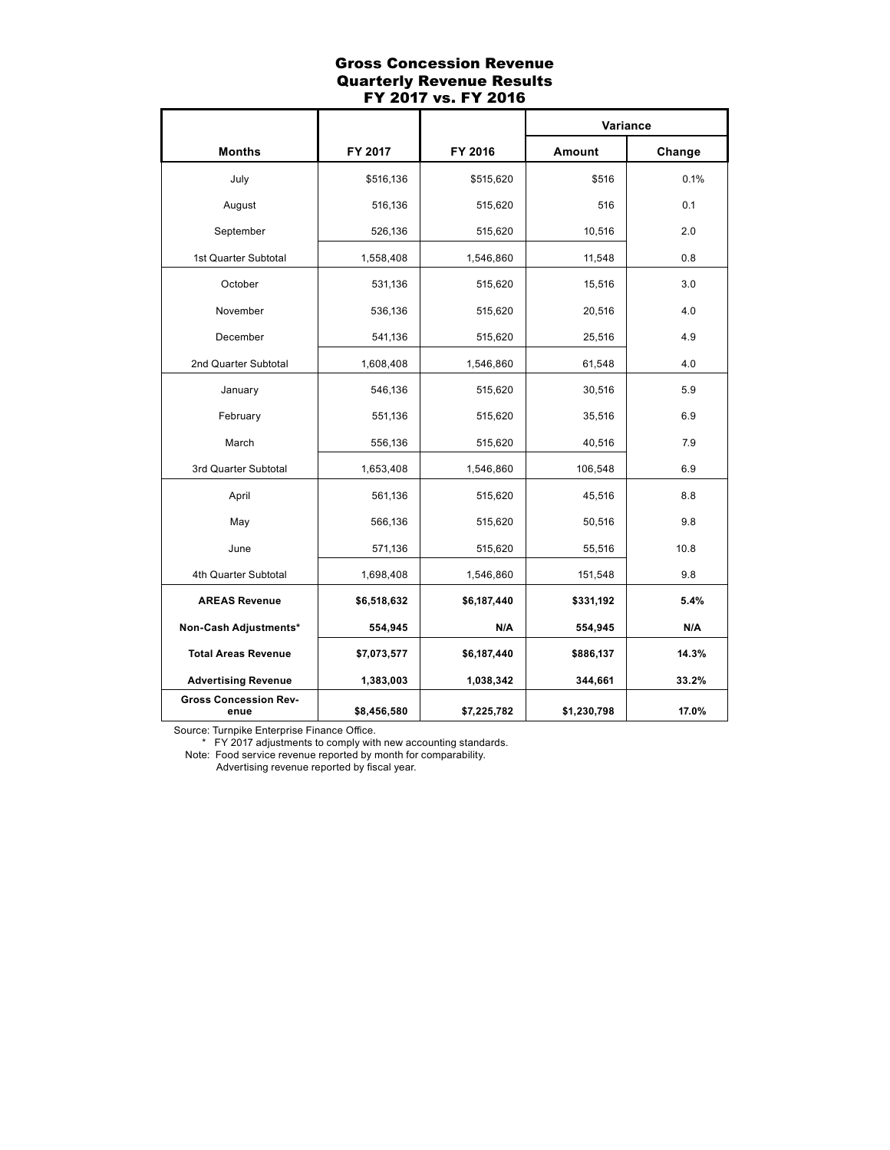## Gross Concession Revenue Quarterly Revenue Results FY 2017 vs. FY 2016

|                                      |             |             | Variance    |        |
|--------------------------------------|-------------|-------------|-------------|--------|
| <b>Months</b>                        | FY 2017     | FY 2016     | Amount      | Change |
| July                                 | \$516,136   | \$515,620   | \$516       | 0.1%   |
| August                               | 516,136     | 515,620     | 516         | 0.1    |
| September                            | 526,136     | 515,620     | 10,516      | 2.0    |
| 1st Quarter Subtotal                 | 1,558,408   | 1,546,860   | 11,548      | 0.8    |
| October                              | 531,136     | 515,620     | 15,516      | 3.0    |
| November                             | 536,136     | 515,620     | 20,516      | 4.0    |
| December                             | 541,136     | 515,620     | 25,516      | 4.9    |
| 2nd Quarter Subtotal                 | 1,608,408   | 1,546,860   | 61,548      | 4.0    |
| January                              | 546,136     | 515,620     | 30,516      | 5.9    |
| February                             | 551,136     | 515,620     | 35,516      | 6.9    |
| March                                | 556,136     | 515,620     | 40,516      | 7.9    |
| 3rd Quarter Subtotal                 | 1,653,408   | 1,546,860   | 106,548     | 6.9    |
| April                                | 561,136     | 515,620     | 45,516      | 8.8    |
| May                                  | 566,136     | 515,620     | 50,516      | 9.8    |
| June                                 | 571,136     | 515,620     | 55,516      | 10.8   |
| 4th Quarter Subtotal                 | 1,698,408   | 1,546,860   | 151,548     | 9.8    |
| <b>AREAS Revenue</b>                 | \$6,518,632 | \$6,187,440 | \$331,192   | 5.4%   |
| Non-Cash Adjustments*                | 554,945     | N/A         | 554,945     | N/A    |
| <b>Total Areas Revenue</b>           | \$7,073,577 | \$6,187,440 | \$886,137   | 14.3%  |
| <b>Advertising Revenue</b>           | 1,383,003   | 1,038,342   | 344,661     | 33.2%  |
| <b>Gross Concession Rev-</b><br>enue | \$8,456,580 | \$7,225,782 | \$1,230,798 | 17.0%  |

Source: Turnpike Enterprise Finance Office.

\* FY 2017 adjustments to comply with new accounting standards.

Note: Food service revenue reported by month for comparability.

Advertising revenue reported by fiscal year.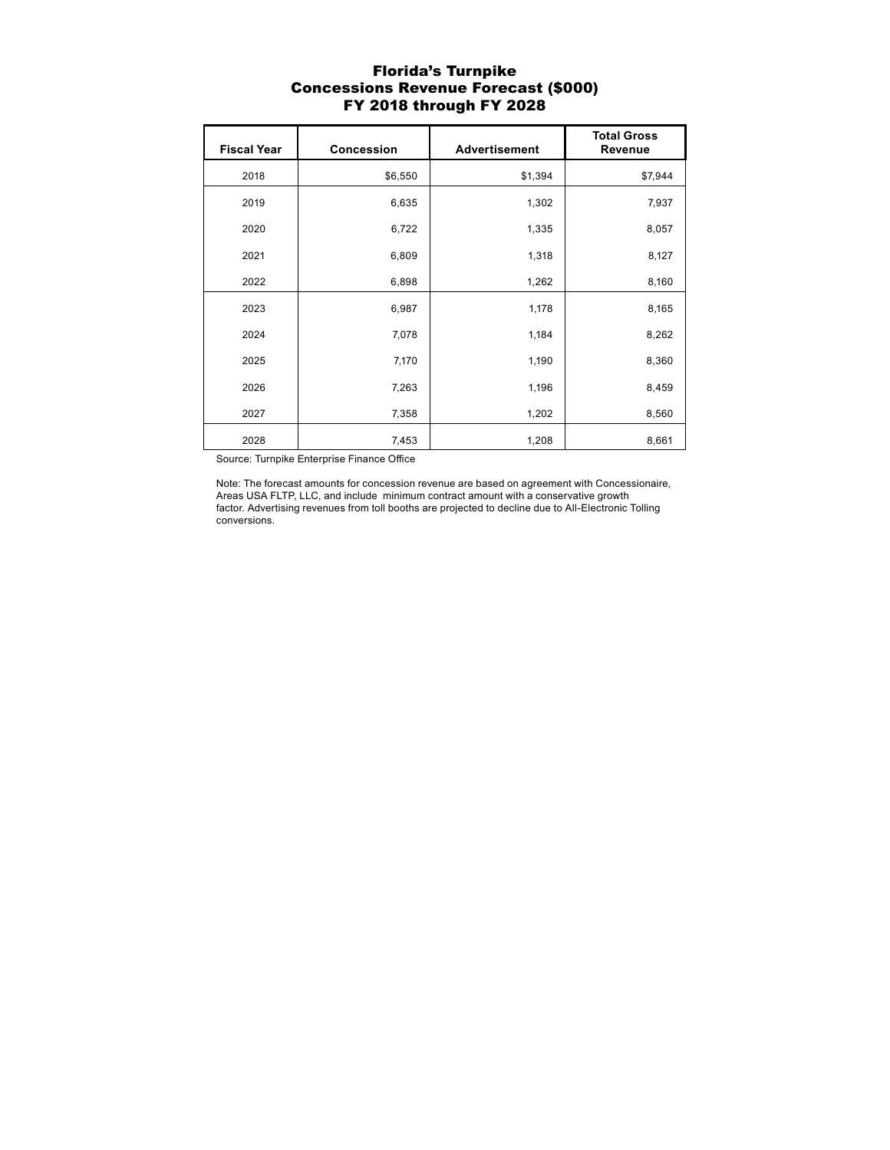#### Florida's Turnpike Concessions Revenue Forecast (\$000) FY 2018 through FY 2028

| <b>Fiscal Year</b> | <b>Concession</b> | <b>Advertisement</b> | <b>Total Gross</b><br><b>Revenue</b> |
|--------------------|-------------------|----------------------|--------------------------------------|
| 2018               | \$6,550           | \$1,394              | \$7,944                              |
| 2019               | 6,635             | 1,302                | 7,937                                |
| 2020               | 6,722             | 1,335                | 8,057                                |
| 2021               | 6,809             | 1,318                | 8,127                                |
| 2022               | 6,898             | 1,262                | 8,160                                |
| 2023               | 6,987             | 1,178                | 8,165                                |
| 2024               | 7,078             | 1,184                | 8,262                                |
| 2025               | 7,170             | 1,190                | 8,360                                |
| 2026               | 7,263             | 1,196                | 8,459                                |
| 2027               | 7,358             | 1,202                | 8,560                                |
| 2028               | 7,453             | 1,208                | 8,661                                |

Source: Turnpike Enterprise Finance Office

Note: The forecast amounts for concession revenue are based on agreement with Concessionaire, Areas USA FLTP, LLC, and include minimum contract amount with a conservative growth factor. Advertising revenues from toll booths are projected to decline due to All-Electronic Tolling conversions.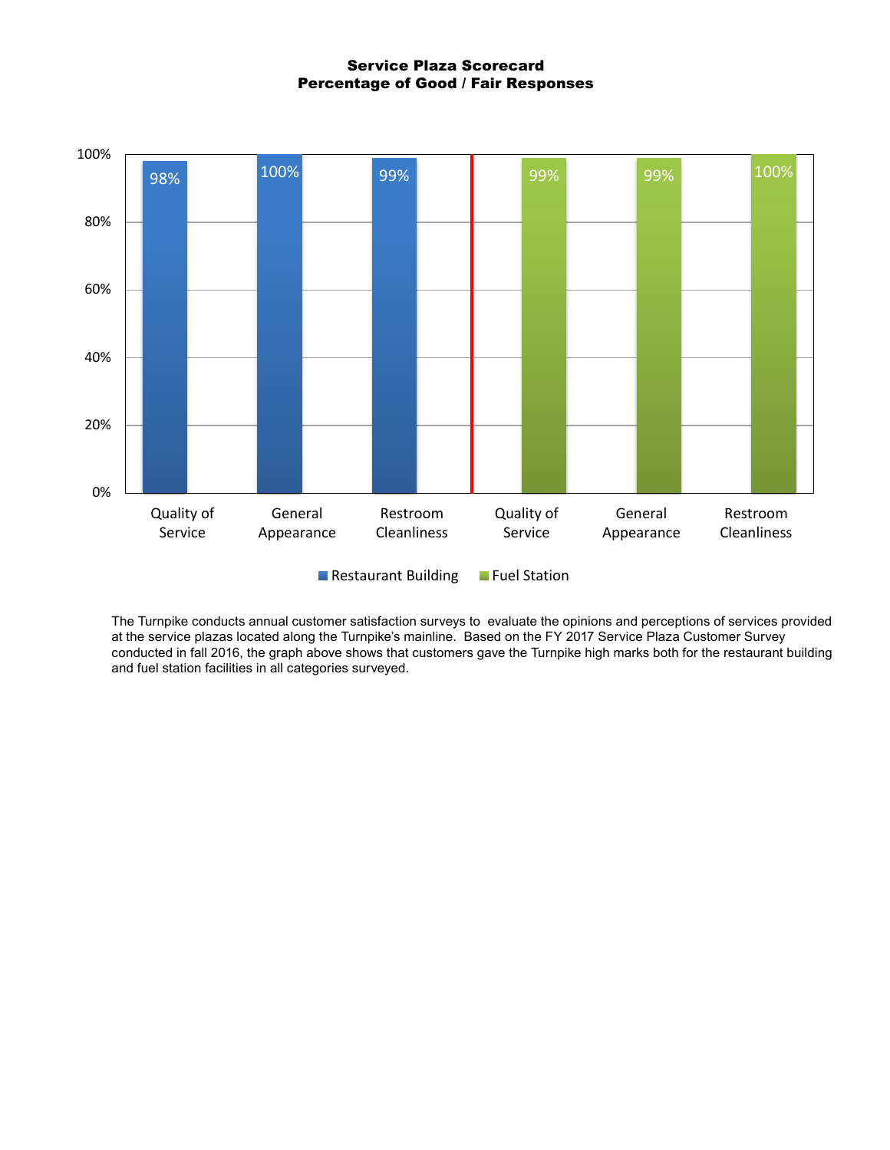Service Plaza Scorecard Percentage of Good / Fair Responses



Restaurant Building Fuel Station

The Turnpike conducts annual customer satisfaction surveys to evaluate the opinions and perceptions of services provided at the service plazas located along the Turnpike's mainline. Based on the FY 2017 Service Plaza Customer Survey conducted in fall 2016, the graph above shows that customers gave the Turnpike high marks both for the restaurant building and fuel station facilities in all categories surveyed.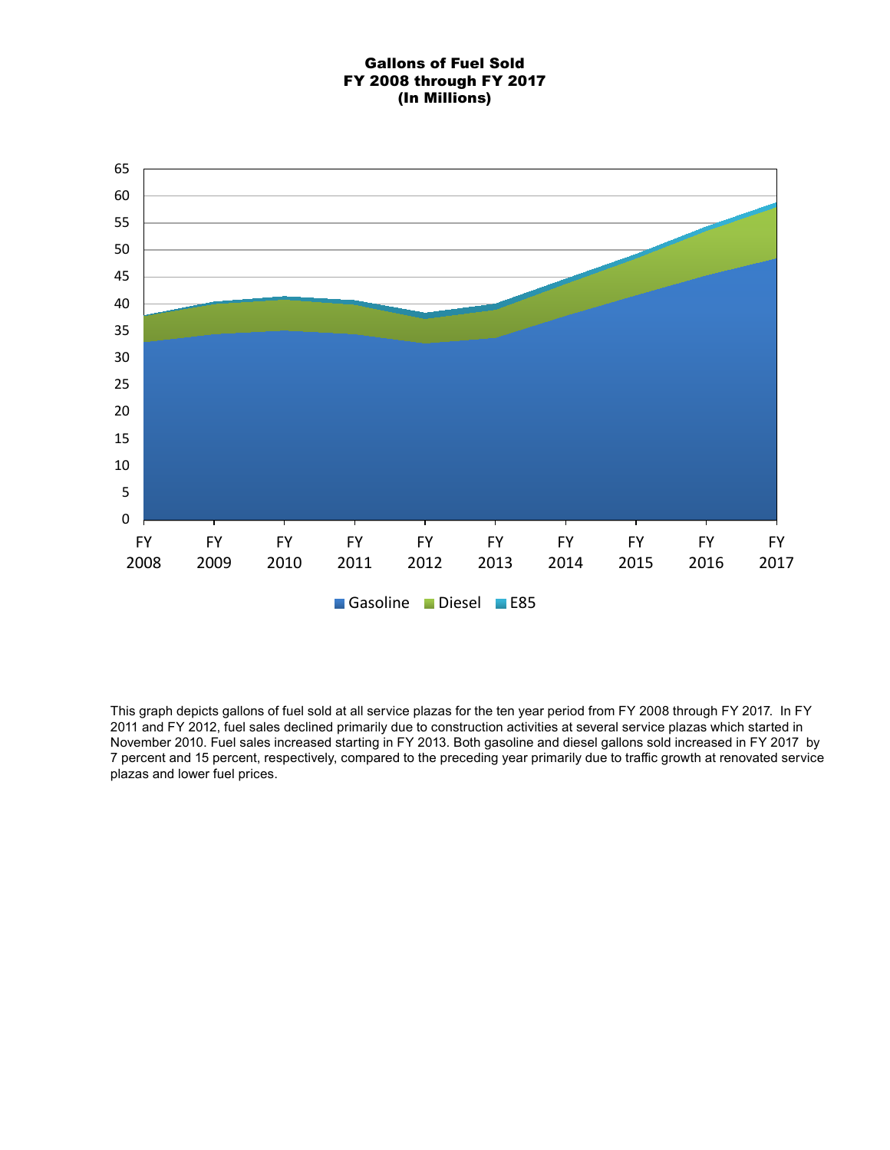# Gallons of Fuel Sold FY 2008 through FY 2017 (In Millions)



This graph depicts gallons of fuel sold at all service plazas for the ten year period from FY 2008 through FY 2017. In FY 2011 and FY 2012, fuel sales declined primarily due to construction activities at several service plazas which started in November 2010. Fuel sales increased starting in FY 2013. Both gasoline and diesel gallons sold increased in FY 2017 by 7 percent and 15 percent, respectively, compared to the preceding year primarily due to traffic growth at renovated service plazas and lower fuel prices.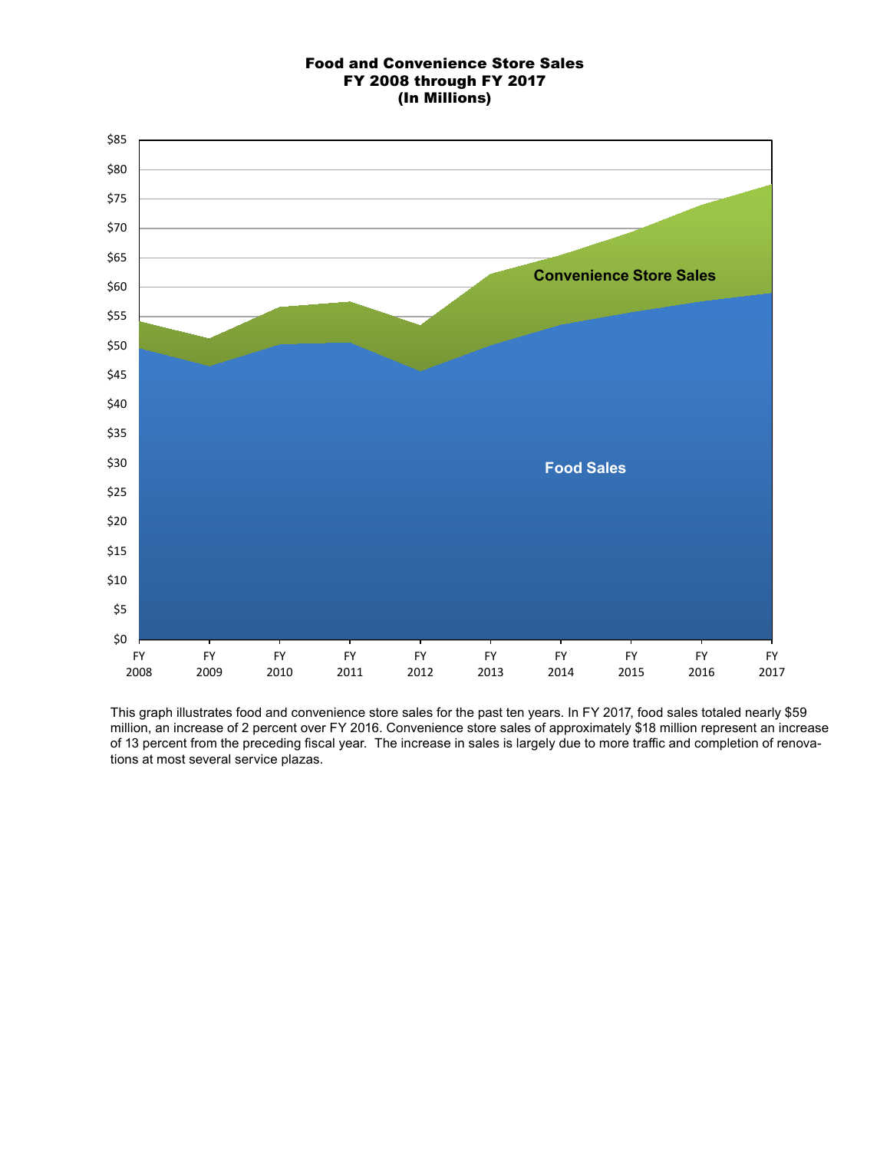## Food and Convenience Store Sales FY 2008 through FY 2017 (In Millions)



This graph illustrates food and convenience store sales for the past ten years. In FY 2017, food sales totaled nearly \$59 million, an increase of 2 percent over FY 2016. Convenience store sales of approximately \$18 million represent an increase of 13 percent from the preceding fiscal year. The increase in sales is largely due to more traffic and completion of renovations at most several service plazas.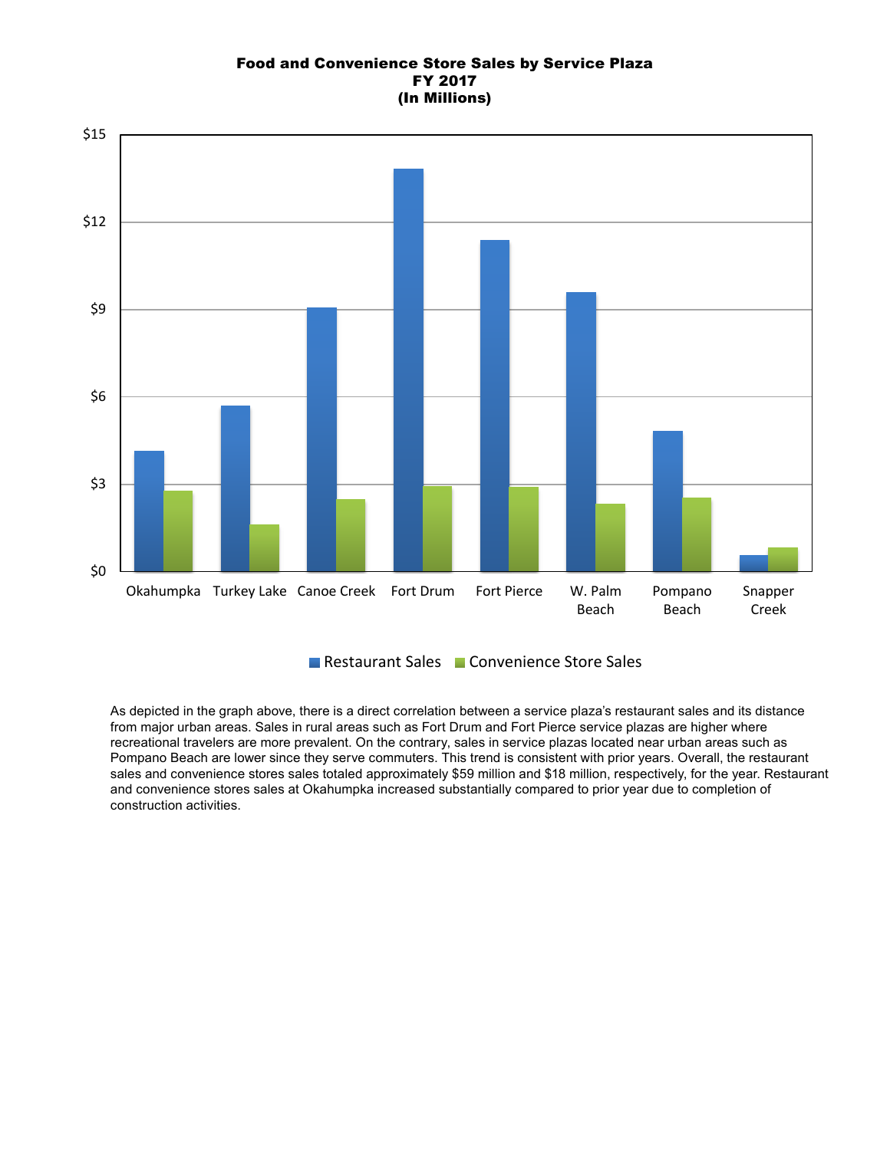## Food and Convenience Store Sales by Service Plaza FY 2017 (In Millions)



Restaurant Sales Convenience Store Sales

As depicted in the graph above, there is a direct correlation between a service plaza's restaurant sales and its distance from major urban areas. Sales in rural areas such as Fort Drum and Fort Pierce service plazas are higher where recreational travelers are more prevalent. On the contrary, sales in service plazas located near urban areas such as Pompano Beach are lower since they serve commuters. This trend is consistent with prior years. Overall, the restaurant sales and convenience stores sales totaled approximately \$59 million and \$18 million, respectively, for the year. Restaurant and convenience stores sales at Okahumpka increased substantially compared to prior year due to completion of construction activities.